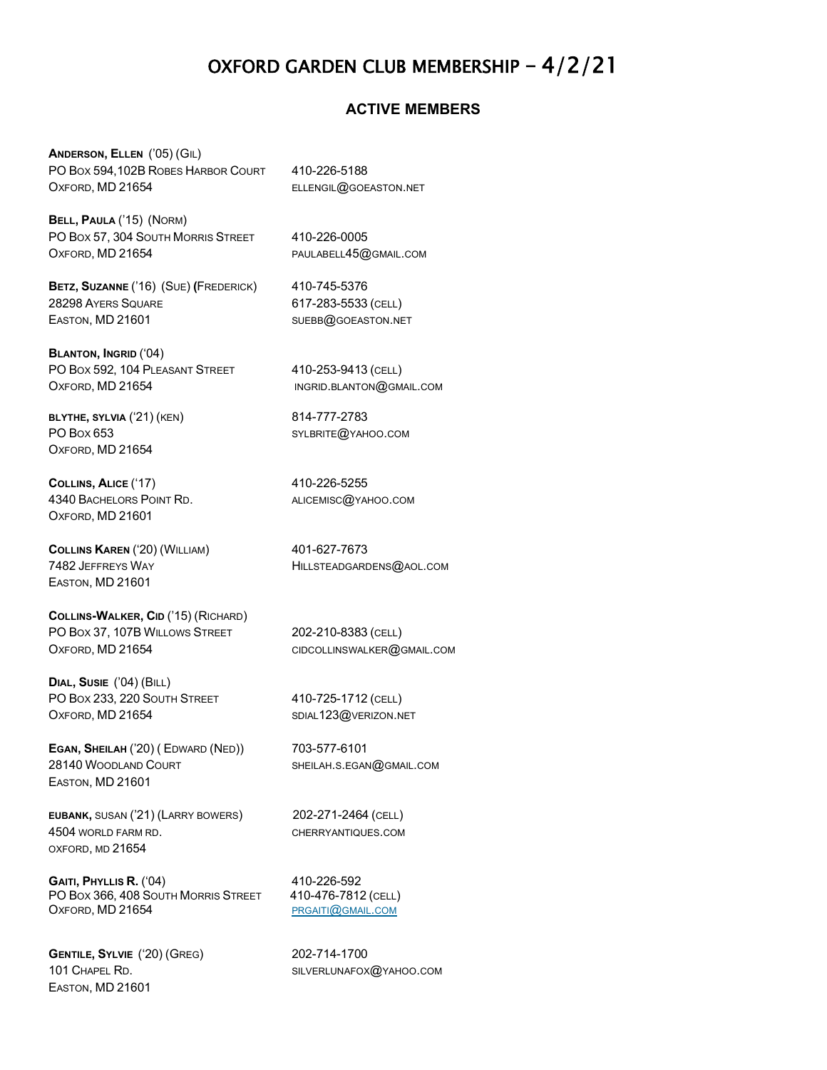# OXFORD GARDEN CLUB MEMBERSHIP – 4/2/21

#### **ACTIVE MEMBERS**

**ANDERSON, ELLEN** ('05) (GIL) PO BOX 594,102B ROBES HARBOR COURT 410-226-5188 OXFORD, MD 21654 ELLENGIL@GOEASTON.NET

**BELL, PAULA** ('15) (NORM) PO BOX 57, 304 SOUTH MORRIS STREET 410-226-0005 OXFORD, MD 21654 PAULABELL45@GMAIL.COM

**BETZ, SUZANNE** ('16) (SUE) **(**FREDERICK) 410-745-5376 28298 AYERS SQUARE 617-283-5533 (CELL) EASTON, MD 21601 SUEBB@GOEASTON.NET

**BLANTON, INGRID** ('04) PO BOX 592, 104 PLEASANT STREET 410-253-9413 (CELL) OXFORD, MD 21654 INGRID.[BLANTON](mailto:ingrid.blanton@gmail.com)@GMAIL.COM

**BLYTHE, SYLVIA** ('21) (KEN) 814-777-2783 PO BOX 653 SYLBRITE @ YAHOO.COM OXFORD, MD 21654

**COLLINS, ALICE** ('17) 410-226-5255 4340 BACHELORS POINT RD. ALICEMISC @ YAHOO.COM OXFORD, MD 21601

**COLLINS KAREN** ('20) (WILLIAM) 401-627-7673 7482 JEFFREYS WAY THE STATE HILLSTEADGARDENS@AOL.COM EASTON, MD 21601

**COLLINS-WALKER, CID** ('15) (RICHARD) PO BOX 37, 107B WILLOWS STREET 202-210-8383 (CELL) OXFORD, MD 21654 CIDCOLLINSWALKER@GMAIL.COM

**DIAL, SUSIE** ('04) (BILL) PO BOX 233, 220 SOUTH STREET 410-725-1712 (CELL) OXFORD, MD 21654 SDIAL123@VERIZON.NET

**EGAN, SHEILAH** ('20) ( EDWARD (NED)) 703-577-6101 28140 WOODLAND COURT SHEILAH.S.EGAN@GMAIL.COM EASTON, MD 21601

**EUBANK,** SUSAN ('21) (LARRY BOWERS) 202-271-2464 (CELL) 4504 WORLD FARM RD. CHERRYANTIQUES.COM OXFORD, MD 21654

**GAITI, PHYLLIS R.** ('04) 410-226-592 PO BOX 366, 408 SOUTH MORRIS STREET 410-476-7812 (CELL) OXFORD, MD 21654 [PRGAITI](mailto:prgaiti@gmail.com)@GMAIL.COM

**GENTILE, SYLVIE** ('20) (GREG) 202-714-1700 101 CHAPEL RD. SILVERLUNAFOX@YAHOO.COM EASTON, MD 21601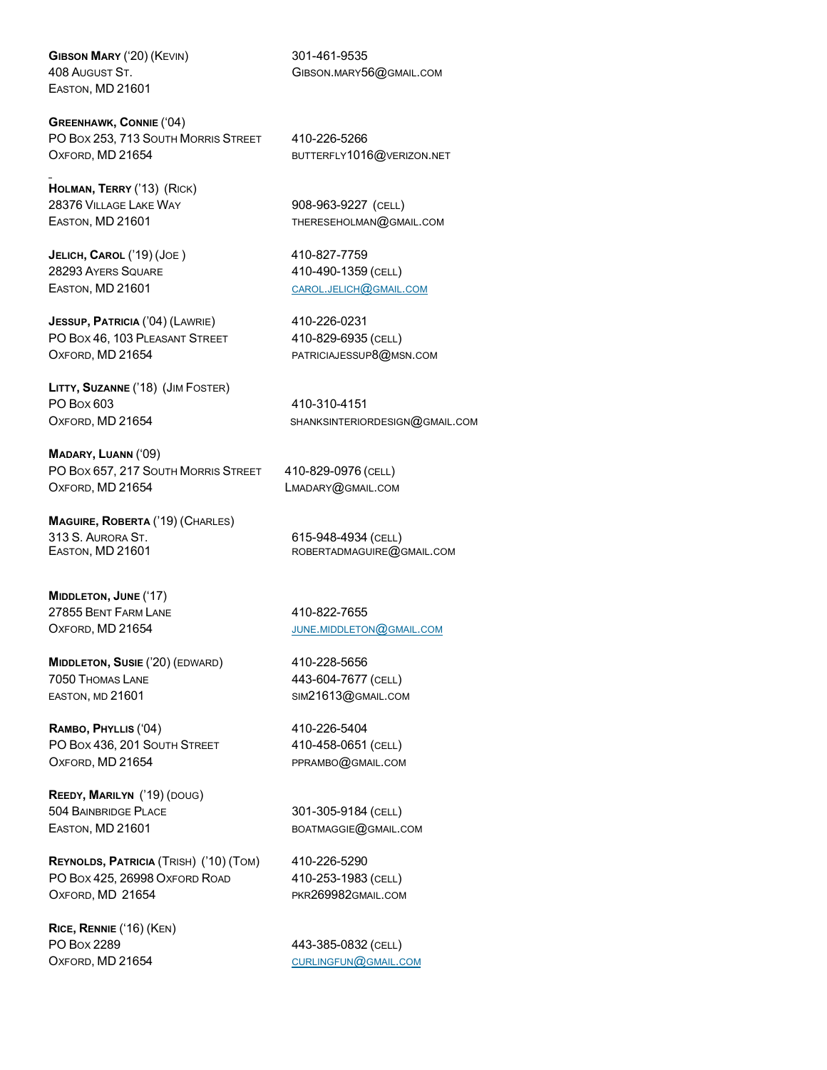**GIBSON MARY** ('20) (KEVIN) 301-461-9535 EASTON, MD 21601

**GREENHAWK, CONNIE** ('04) PO BOX 253, 713 SOUTH MORRIS STREET 410-226-5266 OXFORD, MD 21654 [BUTTERFLY](mailto:butterfly1016@verizon.net)1016@VERIZON.NET

**HOLMAN, TERRY** ('13) (RICK) 28376 VILLAGE LAKE WAY 908-963-9227 (CELL)

**JELICH, CAROL** ('19) (JOE ) 410-827-7759 28293 AYERS SQUARE 410-490-1359 (CELL)

**JESSUP, PATRICIA** ('04) (LAWRIE) 410-226-0231 PO BOX 46, 103 PLEASANT STREET 410-829-6935 (CELL) OXFORD, MD 21654 [PATRICIAJESSUP](mailto:patriciajessup8@msn.com)8@MSN.COM

**LITTY, SUZANNE** ('18) (JIM FOSTER) PO Box 603 410-310-4151

**MADARY, LUANN** ('09) PO BOX 657, 217 SOUTH MORRIS STREET 410-829-0976 (CELL) OXFORD, MD 21654 LMADARY@GMAIL.COM

**MAGUIRE, ROBERTA** ('19) (CHARLES) 313 S. AURORA ST. 615-948-4934 (CELL)

**MIDDLETON, JUNE** ('17) 27855 BENT FARM LANE 410-822-7655

**MIDDLETON, SUSIE** ('20) (EDWARD) 410-228-5656 7050 THOMAS LANE 443-604-7677 (CELL) EASTON, MD 21601 SIM21613@GMAIL.COM

**RAMBO, PHYLLIS** ('04) 410-226-5404 PO BOX 436, 201 SOUTH STREET 410-458-0651 (CELL) OXFORD, MD 21654 [PPRAMBO](mailto:pprambo@verizon.net)@GMAIL.COM

**REEDY, MARILYN** ('19) (DOUG) 504 BAINBRIDGE PLACE 301-305-9184 (CELL) EASTON, MD 21601 BOATMAGGIE @GMAIL.COM

**REYNOLDS, PATRICIA** (TRISH) ('10) (TOM) 410-226-5290 PO Box 425, 26998 OxFord Road 410-253-1983 (CELL) OXFORD, MD 21654 PKR269982GMAIL.COM

**RICE, RENNIE** ('16) (KEN) PO BOX 2289 443-385-0832 (CELL) OXFORD, MD 21654 [CURLINGFUN](mailto:curlingfun@gmail.com)@GMAIL.COM

408 AUGUST ST. GIBSON.MARY56@GMAIL.COM

EASTON, MD 21601 [THERESEHOLMAN](mailto:thereseholman@gmail.com)@GMAIL.COM

EASTON, MD 21601 [CAROL](mailto:carol.jelich@gmail.co).JELICH@GMAIL.COM

OXFORD, MD 21654 SHANKSINTERIORDESIGN@GMAIL.COM

ROBERTADMAGUIRE@GMAIL.COM

OXFORD, MD 21654 JUNE.[MIDDLETON](mailto:june.middleton@gmail.com)@GMAIL.COM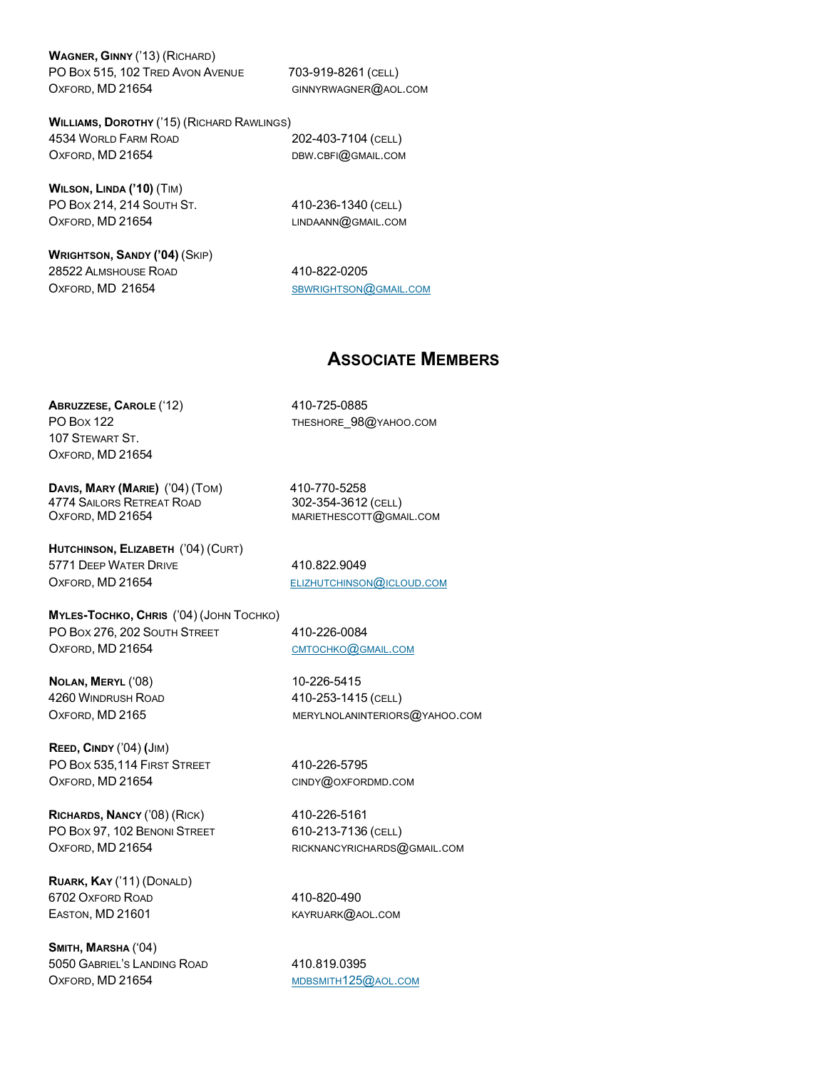**WAGNER, GINNY** ('13) (RICHARD) PO Box 515, 102 TRED AVON AVENUE 703-919-8261 (CELL) OXFORD, MD 21654 GINNYRWAGNER@AOL.COM

**WILLIAMS, DOROTHY** ('15) (RICHARD RAWLINGS) 4534 WORLD FARM ROAD 202-403-7104 (CELL) OXFORD, MD 21654 DBW.CBFI@GMAIL.COM

**WILSON, LINDA ('10)** (TIM) PO BOX 214, 214 SOUTH ST. 410-236-1340 (CELL) OXFORD, MD 21654 LINDAANN@GMAIL.COM

**WRIGHTSON, SANDY ('04)** (SKIP) 28522 ALMSHOUSE ROAD 410-822-0205 OXFORD, MD 21654 [SBWRIGHTSON](mailto:sbwrightson@gmail.com) @GMAIL.COM

### **ASSOCIATE MEMBERS**

**ABRUZZESE, CAROLE** ('12) 410-725-0885 PO Box 122 THESHORE\_98@YAHOO.COM 107 STEWART ST. OXFORD, MD 21654

**DAVIS, MARY (MARIE)** ('04) (TOM) 410-770-5258 4774 SAILORS RETREAT ROAD 302-354-3612 (CELL) OXFORD, MD 21654 MARIETHESCOTT@GMAIL.COM

**HUTCHINSON, ELIZABETH** ('04) (CURT) 5771 DEEP WATER DRIVE 410.822.9049 OXFORD, MD 21654 [ELIZHUTCHINSON](mailto:elizhutchinson@icloud.com)@ICLOUD.COM

**MYLES-TOCHKO, CHRIS** ('04) (JOHN TOCHKO) PO BOX 276, 202 SOUTH STREET 410-226-0084 OXFORD, MD 21654 [CMTOCHKO](mailto:cmtochko@gmail.com)@GMAIL.COM

**NOLAN, MERYL** ('08) 10-226-5415 4260 WINDRUSH ROAD 410-253-1415 (CELL)

**REED, CINDY** ('04) **(**JIM) PO BOX 535,114 FIRST STREET 410-226-5795 OXFORD, MD 21654 CINDY@[OXFORDMD](mailto:cindy@oxfordmd.com).COM

**RICHARDS, NANCY** ('08) (RICK) 410-226-5161 PO Box 97, 102 BENONI STREET 610-213-7136 (CELL) OXFORD, MD 21654 RICKNANCYRICHARDS@GMAIL.COM

**RUARK, KAY** ('11) (DONALD) 6702 OXFORD ROAD 410-820-490 EASTON, MD 21601 KAYRUARK@AOL.COM

**SMITH, MARSHA** ('04) 5050 GABRIEL'S LANDING ROAD 410.819.0395 OXFORD, MD 21654 [MDBSMITH](mailto:mdbsmith125@aol.com)125@AOL.COM

OXFORD, MD 2165 MERYLNOLANINTERIORS @ YAHOO.COM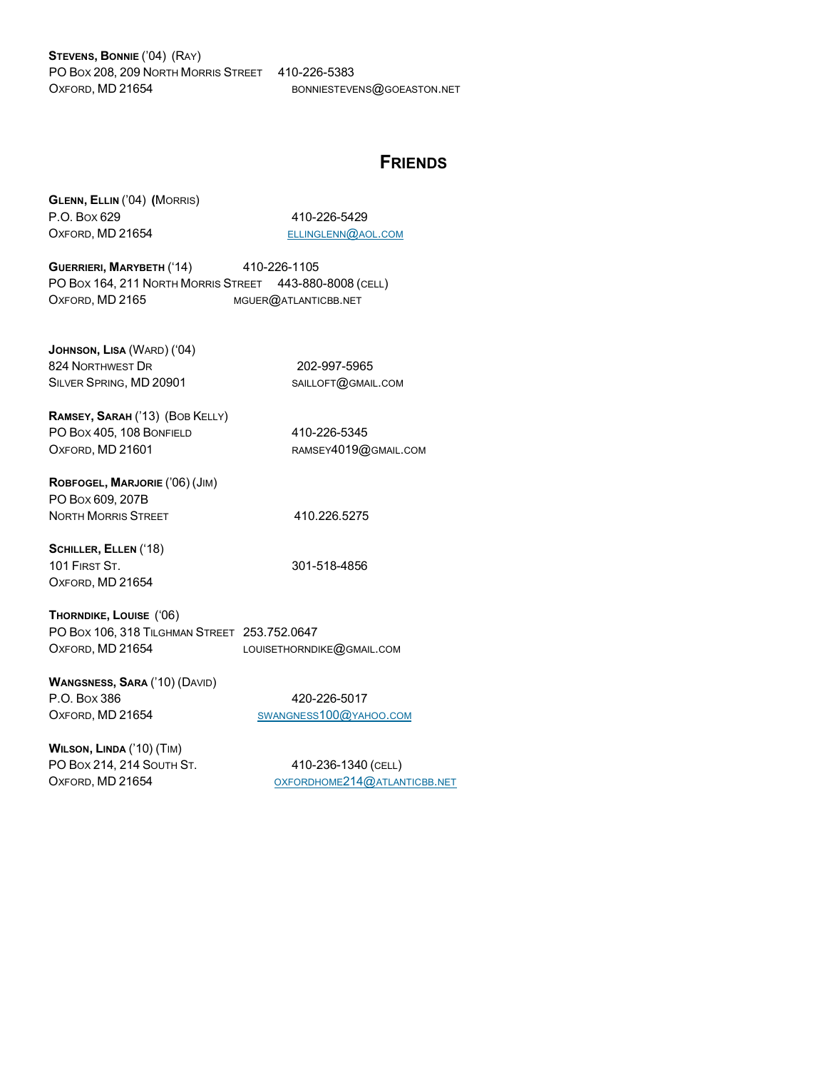**STEVENS, BONNIE** ('04) (RAY) PO BOX 208, 209 NORTH MORRIS STREET 410-226-5383 OXFORD, MD 21654 BONNIESTEVENS@GOEASTON.NET

## **FRIENDS**

| GLENN, ELLIN ('04) (MORRIS) |
|-----------------------------|
| P.O. Box 629                |
| OXFORD, MD 21654            |

410-226-5429 [ELLINGLENN](mailto:ellinglenn@aol.com)@AOL.COM

**GUERRIERI, MARYBETH** ('14) 410-226-1105 PO BOX 164, 211 NORTH MORRIS STREET 443-880-8008 (CELL) OXFORD, MD 2165 MGUER@ATLANTICBB.NET

**JOHNSON, LISA** (WARD) ('04) 824 NORTHWEST DR 202-997-5965 SILVER SPRING, MD 20901 SAILLOFT@GMAIL.COM

**RAMSEY, SARAH** ('13) (BOB KELLY) PO BOX 405, 108 BONFIELD 410-226-5345 OXFORD, MD 21601 RAMSEY4019@GMAIL.COM

**ROBFOGEL, MARJORIE** ('06) (JIM) PO BOX 609, 207B NORTH MORRIS STREET 410.226.5275

**SCHILLER, ELLEN** ('18) 101 FIRST ST. 301-518-4856 OXFORD, MD 21654

**THORNDIKE, LOUISE** ('06) PO BOX 106, 318 TILGHMAN STREET 253.752.0647 OXFORD, MD 21654 LOUISETHORNDIKE@GMAIL.COM

**WANGSNESS, SARA** ('10) (DAVID) P.O. Box 386 420-226-5017 OXFORD, MD 21654 [SWANGNESS](mailto:swangness100@yahoo.com)100@YAHOO.COM

**WILSON, LINDA** ('10) (TIM) PO BOX 214, 214 SOUTH ST. 410-236-1340 (CELL)

OXFORD, MD 21654 [OXFORDHOME](mailto:oxfordhome214@atlanticbb.net)214@ATLANTICBB.NET